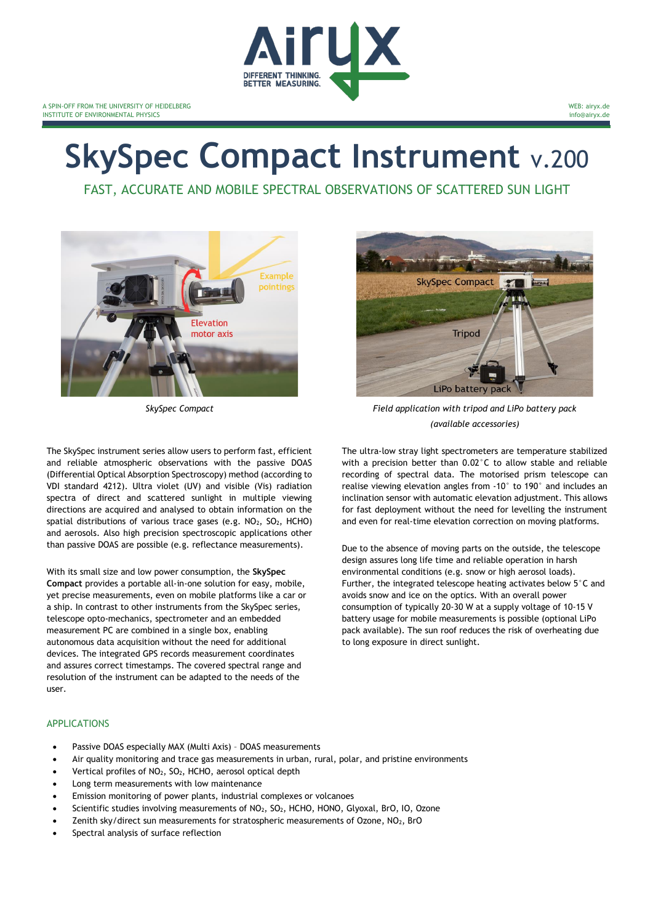

# **SkySpec Compact Instrument** v.200

FAST, ACCURATE AND MOBILE SPECTRAL OBSERVATIONS OF SCATTERED SUN LIGHT



The SkySpec instrument series allow users to perform fast, efficient and reliable atmospheric observations with the passive DOAS (Differential Optical Absorption Spectroscopy) method (according to VDI standard 4212). Ultra violet (UV) and visible (Vis) radiation spectra of direct and scattered sunlight in multiple viewing directions are acquired and analysed to obtain information on the spatial distributions of various trace gases (e.g.  $NO<sub>2</sub>$ ,  $SO<sub>2</sub>$ , HCHO) and aerosols. Also high precision spectroscopic applications other than passive DOAS are possible (e.g. reflectance measurements).

With its small size and low power consumption, the **SkySpec Compact** provides a portable all-in-one solution for easy, mobile, yet precise measurements, even on mobile platforms like a car or a ship. In contrast to other instruments from the SkySpec series, telescope opto-mechanics, spectrometer and an embedded measurement PC are combined in a single box, enabling autonomous data acquisition without the need for additional devices. The integrated GPS records measurement coordinates and assures correct timestamps. The covered spectral range and resolution of the instrument can be adapted to the needs of the user.



WEB: airyx.de info@airyx.de

*SkySpec Compact Field application with tripod and LiPo battery pack (available accessories)*

The ultra-low stray light spectrometers are temperature stabilized with a precision better than 0.02°C to allow stable and reliable recording of spectral data. The motorised prism telescope can realise viewing elevation angles from -10° to 190° and includes an inclination sensor with automatic elevation adjustment. This allows for fast deployment without the need for levelling the instrument and even for real-time elevation correction on moving platforms.

Due to the absence of moving parts on the outside, the telescope design assures long life time and reliable operation in harsh environmental conditions (e.g. snow or high aerosol loads). Further, the integrated telescope heating activates below 5°C and avoids snow and ice on the optics. With an overall power consumption of typically 20-30 W at a supply voltage of 10-15 V battery usage for mobile measurements is possible (optional LiPo pack available). The sun roof reduces the risk of overheating due to long exposure in direct sunlight.

#### APPLICATIONS

- Passive DOAS especially MAX (Multi Axis) DOAS measurements
- Air quality monitoring and trace gas measurements in urban, rural, polar, and pristine environments
- Vertical profiles of NO2, SO2, HCHO, aerosol optical depth
- Long term measurements with low maintenance
- Emission monitoring of power plants, industrial complexes or volcanoes
- Scientific studies involving measurements of NO<sub>2</sub>, SO<sub>2</sub>, HCHO, HONO, Glyoxal, BrO, IO, Ozone
- Zenith sky/direct sun measurements for stratospheric measurements of Ozone,  $NO<sub>2</sub>$ , BrO
- Spectral analysis of surface reflection